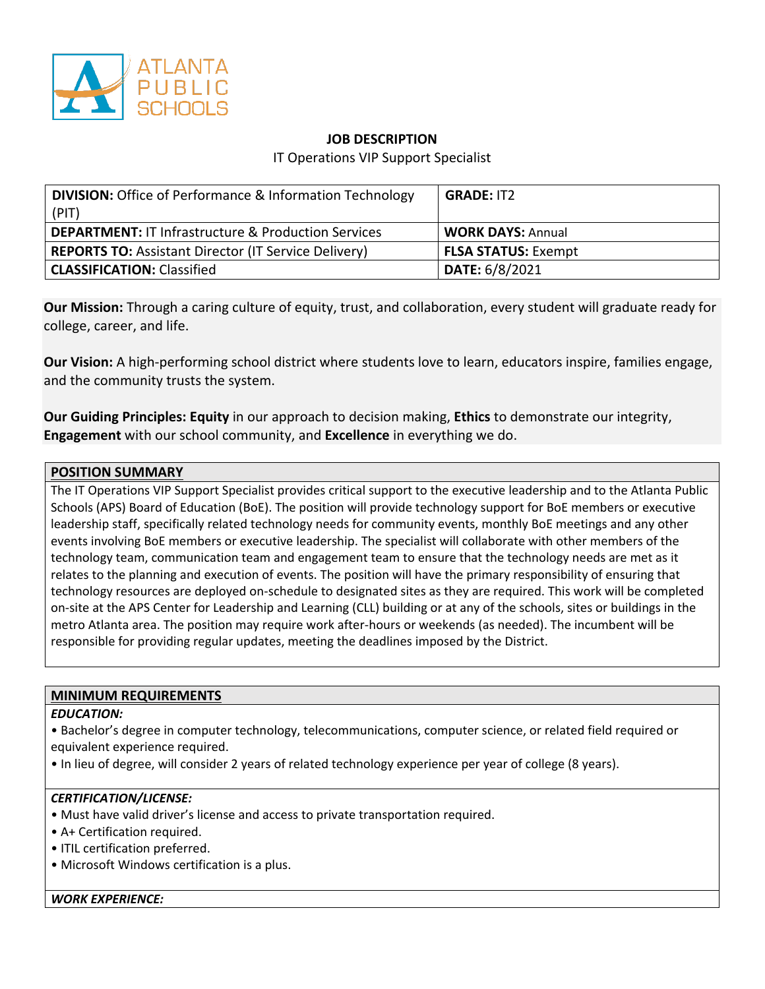

# **JOB DESCRIPTION**

IT Operations VIP Support Specialist

| <b>DIVISION:</b> Office of Performance & Information Technology<br>(PIT) | <b>GRADE: IT2</b>          |
|--------------------------------------------------------------------------|----------------------------|
| <b>DEPARTMENT: IT Infrastructure &amp; Production Services</b>           | <b>WORK DAYS: Annual</b>   |
| <b>REPORTS TO: Assistant Director (IT Service Delivery)</b>              | <b>FLSA STATUS: Exempt</b> |
| <b>CLASSIFICATION: Classified</b>                                        | <b>DATE: 6/8/2021</b>      |

**Our Mission:** Through a caring culture of equity, trust, and collaboration, every student will graduate ready for college, career, and life.

**Our Vision:** A high-performing school district where students love to learn, educators inspire, families engage, and the community trusts the system.

**Our Guiding Principles: Equity** in our approach to decision making, **Ethics** to demonstrate our integrity, **Engagement** with our school community, and **Excellence** in everything we do.

## **POSITION SUMMARY**

The IT Operations VIP Support Specialist provides critical support to the executive leadership and to the Atlanta Public Schools (APS) Board of Education (BoE). The position will provide technology support for BoE members or executive leadership staff, specifically related technology needs for community events, monthly BoE meetings and any other events involving BoE members or executive leadership. The specialist will collaborate with other members of the technology team, communication team and engagement team to ensure that the technology needs are met as it relates to the planning and execution of events. The position will have the primary responsibility of ensuring that technology resources are deployed on-schedule to designated sites as they are required. This work will be completed on-site at the APS Center for Leadership and Learning (CLL) building or at any of the schools, sites or buildings in the metro Atlanta area. The position may require work after-hours or weekends (as needed). The incumbent will be responsible for providing regular updates, meeting the deadlines imposed by the District.

## **MINIMUM REQUIREMENTS**

## *EDUCATION:*

• Bachelor's degree in computer technology, telecommunications, computer science, or related field required or equivalent experience required.

• In lieu of degree, will consider 2 years of related technology experience per year of college (8 years).

#### *CERTIFICATION/LICENSE:*

- Must have valid driver's license and access to private transportation required.
- A+ Certification required.
- ITIL certification preferred.
- Microsoft Windows certification is a plus.

*WORK EXPERIENCE:*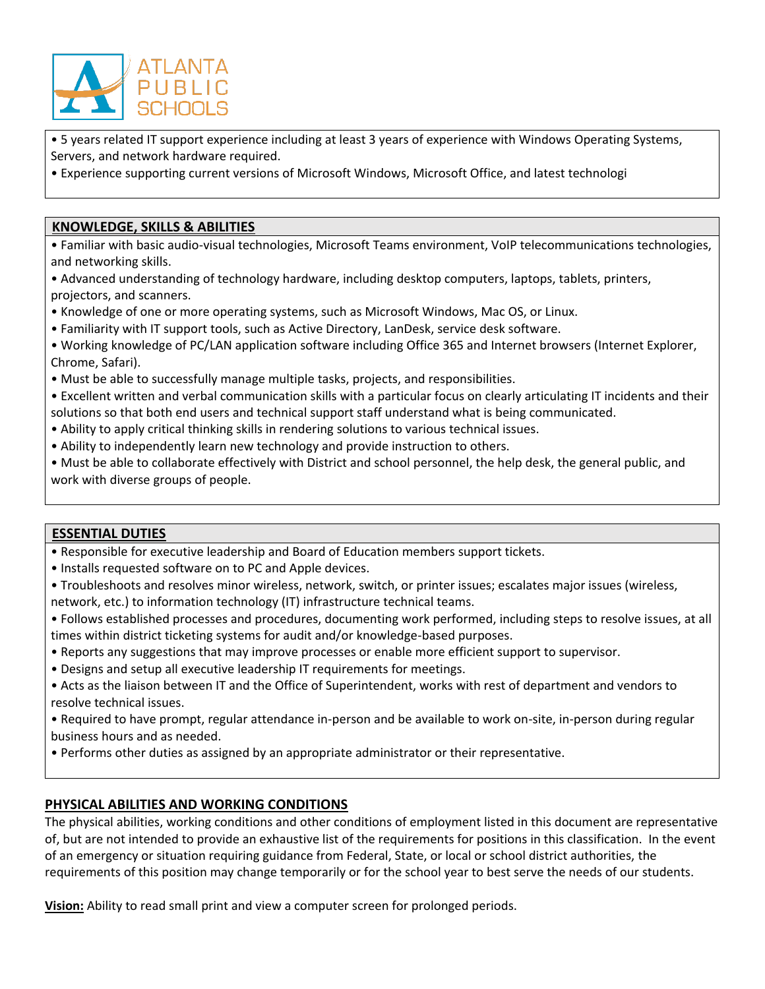

• 5 years related IT support experience including at least 3 years of experience with Windows Operating Systems, Servers, and network hardware required.

• Experience supporting current versions of Microsoft Windows, Microsoft Office, and latest technologi

## **KNOWLEDGE, SKILLS & ABILITIES**

• Familiar with basic audio-visual technologies, Microsoft Teams environment, VoIP telecommunications technologies, and networking skills.

• Advanced understanding of technology hardware, including desktop computers, laptops, tablets, printers, projectors, and scanners.

- Knowledge of one or more operating systems, such as Microsoft Windows, Mac OS, or Linux.
- Familiarity with IT support tools, such as Active Directory, LanDesk, service desk software.
- Working knowledge of PC/LAN application software including Office 365 and Internet browsers (Internet Explorer, Chrome, Safari).
- Must be able to successfully manage multiple tasks, projects, and responsibilities.
- Excellent written and verbal communication skills with a particular focus on clearly articulating IT incidents and their solutions so that both end users and technical support staff understand what is being communicated.
- Ability to apply critical thinking skills in rendering solutions to various technical issues.
- Ability to independently learn new technology and provide instruction to others.
- Must be able to collaborate effectively with District and school personnel, the help desk, the general public, and work with diverse groups of people.

## **ESSENTIAL DUTIES**

- Responsible for executive leadership and Board of Education members support tickets.
- Installs requested software on to PC and Apple devices.
- Troubleshoots and resolves minor wireless, network, switch, or printer issues; escalates major issues (wireless, network, etc.) to information technology (IT) infrastructure technical teams.
- Follows established processes and procedures, documenting work performed, including steps to resolve issues, at all times within district ticketing systems for audit and/or knowledge-based purposes.
- Reports any suggestions that may improve processes or enable more efficient support to supervisor.
- Designs and setup all executive leadership IT requirements for meetings.
- Acts as the liaison between IT and the Office of Superintendent, works with rest of department and vendors to resolve technical issues.
- Required to have prompt, regular attendance in-person and be available to work on-site, in-person during regular business hours and as needed.
- Performs other duties as assigned by an appropriate administrator or their representative.

# **PHYSICAL ABILITIES AND WORKING CONDITIONS**

The physical abilities, working conditions and other conditions of employment listed in this document are representative of, but are not intended to provide an exhaustive list of the requirements for positions in this classification. In the event of an emergency or situation requiring guidance from Federal, State, or local or school district authorities, the requirements of this position may change temporarily or for the school year to best serve the needs of our students.

**Vision:** Ability to read small print and view a computer screen for prolonged periods.